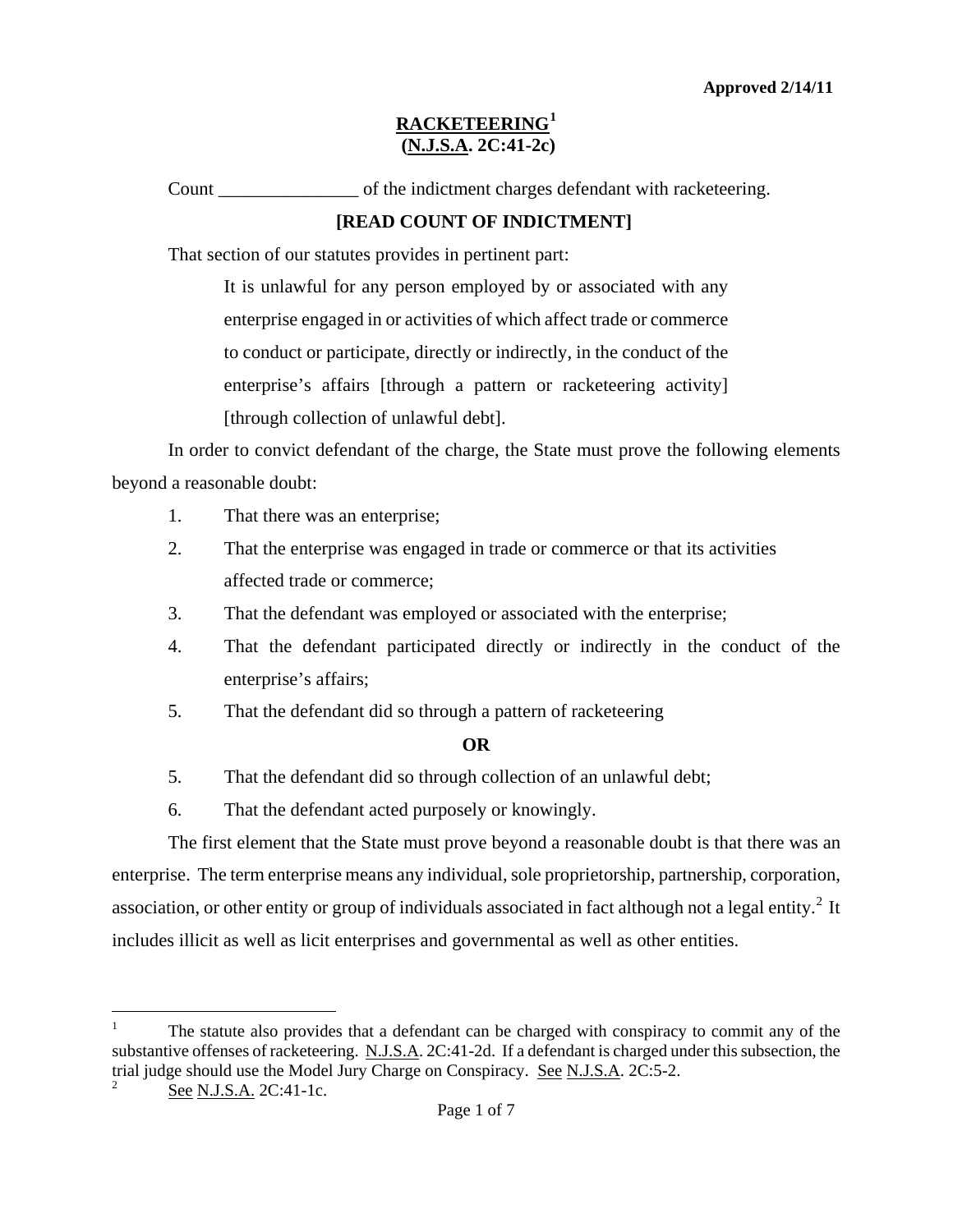Count of the indictment charges defendant with racketeering.

## **[READ COUNT OF INDICTMENT]**

That section of our statutes provides in pertinent part:

It is unlawful for any person employed by or associated with any enterprise engaged in or activities of which affect trade or commerce to conduct or participate, directly or indirectly, in the conduct of the enterprise's affairs [through a pattern or racketeering activity] [through collection of unlawful debt].

In order to convict defendant of the charge, the State must prove the following elements beyond a reasonable doubt:

- 1. That there was an enterprise;
- 2. That the enterprise was engaged in trade or commerce or that its activities affected trade or commerce;
- 3. That the defendant was employed or associated with the enterprise;
- 4. That the defendant participated directly or indirectly in the conduct of the enterprise's affairs;
- 5. That the defendant did so through a pattern of racketeering

## **OR**

- 5. That the defendant did so through collection of an unlawful debt;
- 6. That the defendant acted purposely or knowingly.

The first element that the State must prove beyond a reasonable doubt is that there was an enterprise. The term enterprise means any individual, sole proprietorship, partnership, corporation, association, or other entity or group of individuals associated in fact although not a legal entity.<sup>[2](#page-0-1)</sup> It includes illicit as well as licit enterprises and governmental as well as other entities.

<span id="page-0-2"></span> $\overline{\phantom{0}}$ 

<span id="page-0-0"></span><sup>1</sup> The statute also provides that a defendant can be charged with conspiracy to commit any of the substantive offenses of racketeering. N.J.S.A. 2C:41-2d. If a defendant is charged under this subsection, the trial judge should use the Model Jury Charge on Conspiracy. See N.J.S.A. 2C:5-2.

<span id="page-0-1"></span>See N.J.S.A. 2C:41-1c.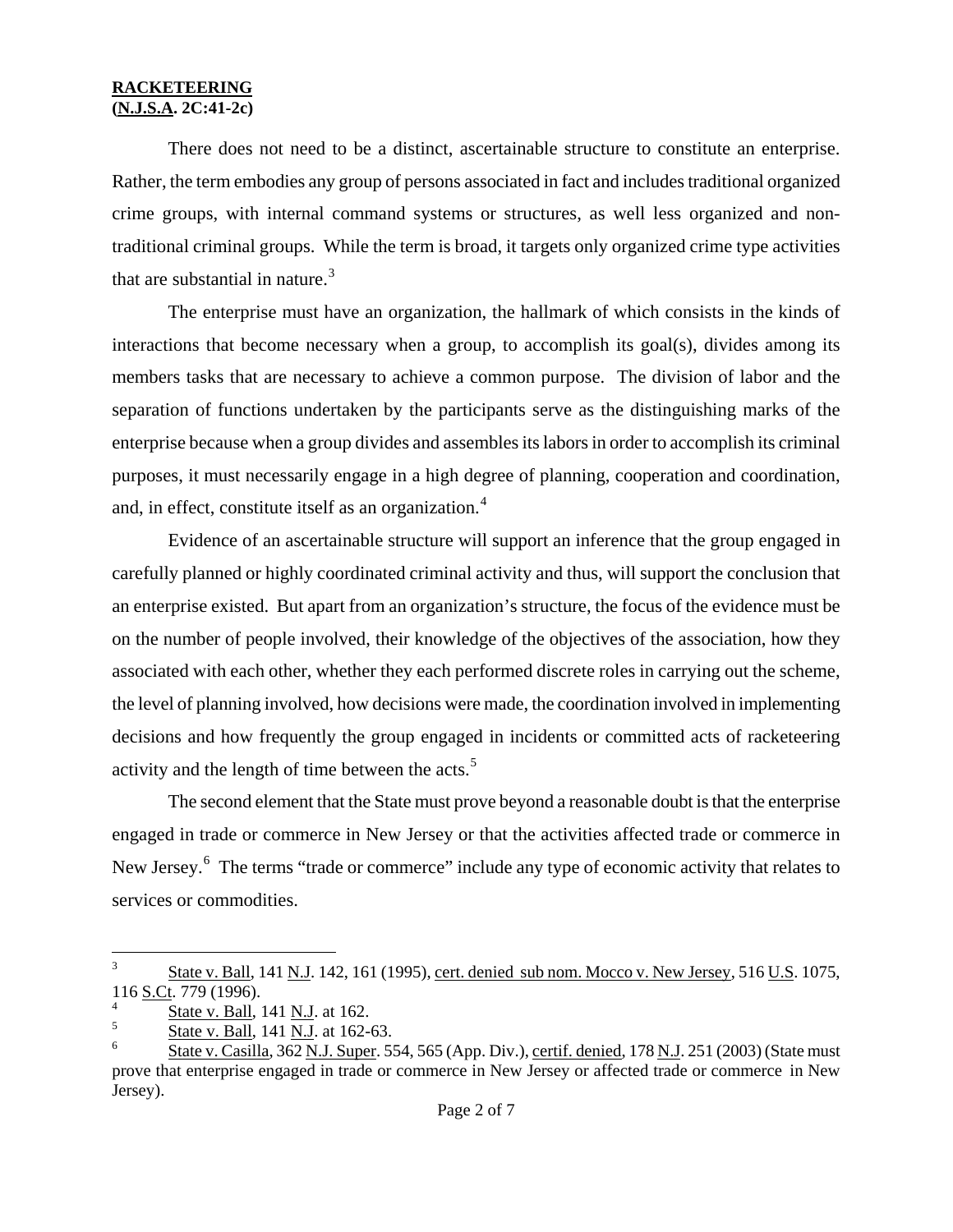There does not need to be a distinct, ascertainable structure to constitute an enterprise. Rather, the term embodies any group of persons associated in fact and includes traditional organized crime groups, with internal command systems or structures, as well less organized and nontraditional criminal groups. While the term is broad, it targets only organized crime type activities that are substantial in nature. $3$ 

The enterprise must have an organization, the hallmark of which consists in the kinds of interactions that become necessary when a group, to accomplish its goal(s), divides among its members tasks that are necessary to achieve a common purpose. The division of labor and the separation of functions undertaken by the participants serve as the distinguishing marks of the enterprise because when a group divides and assembles its labors in order to accomplish its criminal purposes, it must necessarily engage in a high degree of planning, cooperation and coordination, and, in effect, constitute itself as an organization.<sup>4</sup>

Evidence of an ascertainable structure will support an inference that the group engaged in carefully planned or highly coordinated criminal activity and thus, will support the conclusion that an enterprise existed. But apart from an organization's structure, the focus of the evidence must be on the number of people involved, their knowledge of the objectives of the association, how they associated with each other, whether they each performed discrete roles in carrying out the scheme, the level of planning involved, how decisions were made, the coordination involved in implementing decisions and how frequently the group engaged in incidents or committed acts of racketeering activity and the length of time between the acts.<sup>[5](#page-1-1)</sup>

The second element that the State must prove beyond a reasonable doubt is that the enterprise engaged in trade or commerce in New Jersey or that the activities affected trade or commerce in New Jersey.<sup>[6](#page-1-2)</sup> The terms "trade or commerce" include any type of economic activity that relates to services or commodities.

 $\overline{3}$ 3 State v. Ball, 141 N.J. 142, 161 (1995), cert. denied sub nom. Mocco v. New Jersey, 516 U.S. 1075, 116 S.Ct. 779 (1996).

<span id="page-1-0"></span> $\frac{4}{5}$  State v. Ball, 141 N.J. at 162.

<span id="page-1-1"></span> $\frac{5}{6}$  State v. Ball, 141 N.J. at 162-63.

<span id="page-1-2"></span><sup>6</sup> State v. Casilla, 362 N.J. Super. 554, 565 (App. Div.), certif. denied, 178 N.J. 251 (2003) (State must prove that enterprise engaged in trade or commerce in New Jersey or affected trade or commerce in New Jersey).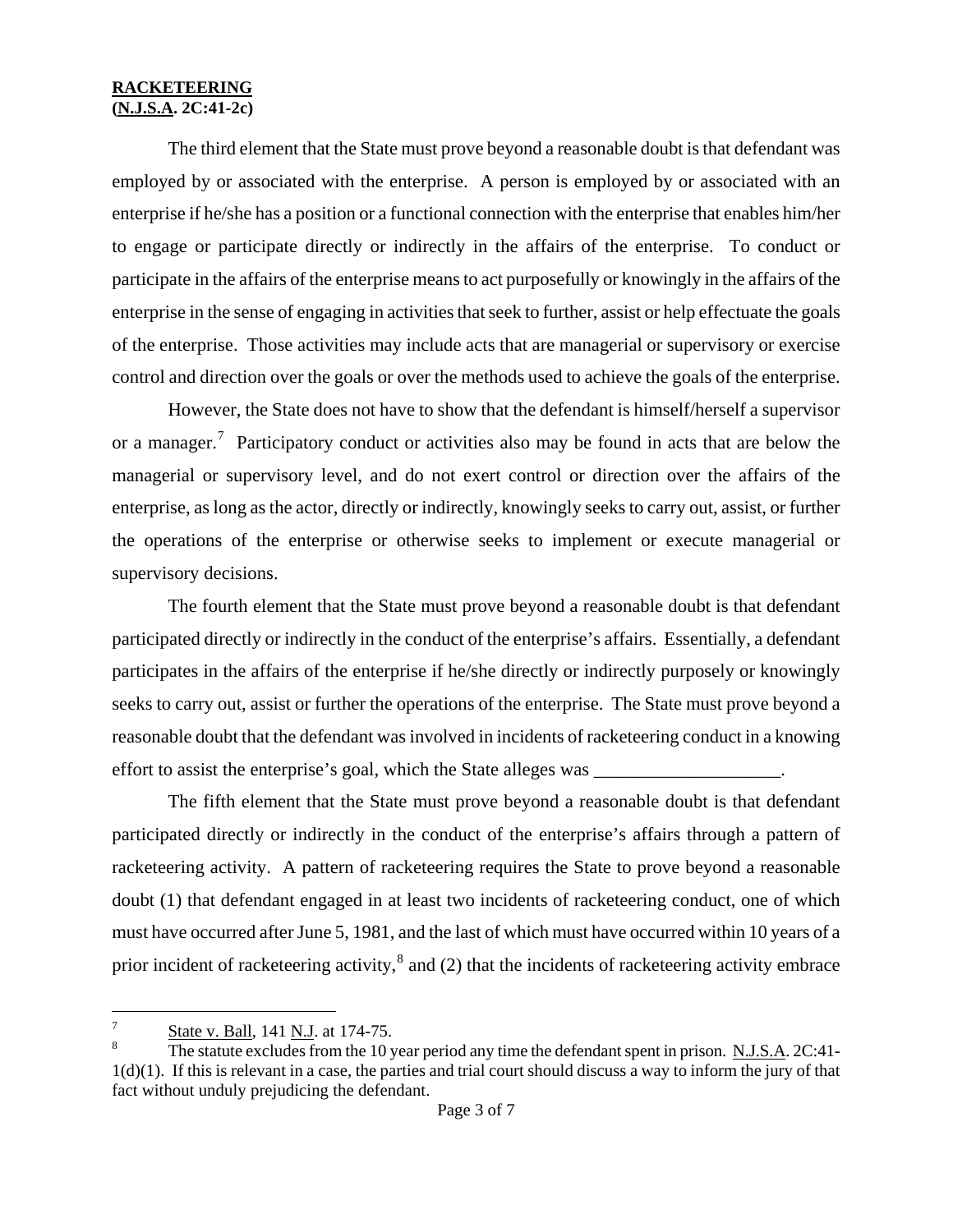The third element that the State must prove beyond a reasonable doubt is that defendant was employed by or associated with the enterprise. A person is employed by or associated with an enterprise if he/she has a position or a functional connection with the enterprise that enables him/her to engage or participate directly or indirectly in the affairs of the enterprise. To conduct or participate in the affairs of the enterprise means to act purposefully or knowingly in the affairs of the enterprise in the sense of engaging in activities that seek to further, assist or help effectuate the goals of the enterprise. Those activities may include acts that are managerial or supervisory or exercise control and direction over the goals or over the methods used to achieve the goals of the enterprise.

However, the State does not have to show that the defendant is himself/herself a supervisor or a manager.<sup>[7](#page-1-1)</sup> Participatory conduct or activities also may be found in acts that are below the managerial or supervisory level, and do not exert control or direction over the affairs of the enterprise, as long as the actor, directly or indirectly, knowingly seeks to carry out, assist, or further the operations of the enterprise or otherwise seeks to implement or execute managerial or supervisory decisions.

The fourth element that the State must prove beyond a reasonable doubt is that defendant participated directly or indirectly in the conduct of the enterprise's affairs. Essentially, a defendant participates in the affairs of the enterprise if he/she directly or indirectly purposely or knowingly seeks to carry out, assist or further the operations of the enterprise. The State must prove beyond a reasonable doubt that the defendant was involved in incidents of racketeering conduct in a knowing effort to assist the enterprise's goal, which the State alleges was \_\_\_\_\_\_\_\_\_\_\_\_\_\_\_\_\_\_\_\_.

The fifth element that the State must prove beyond a reasonable doubt is that defendant participated directly or indirectly in the conduct of the enterprise's affairs through a pattern of racketeering activity. A pattern of racketeering requires the State to prove beyond a reasonable doubt (1) that defendant engaged in at least two incidents of racketeering conduct, one of which must have occurred after June 5, 1981, and the last of which must have occurred within 10 years of a prior incident of racketeering activity, $^8$  $^8$  and (2) that the incidents of racketeering activity embrace

<span id="page-2-1"></span>i<br>Li State v. Ball, 141 N.J. at 174-75.

<span id="page-2-0"></span>The statute excludes from the 10 year period any time the defendant spent in prison. N.J.S.A. 2C:41-1(d)(1). If this is relevant in a case, the parties and trial court should discuss a way to inform the jury of that fact without unduly prejudicing the defendant.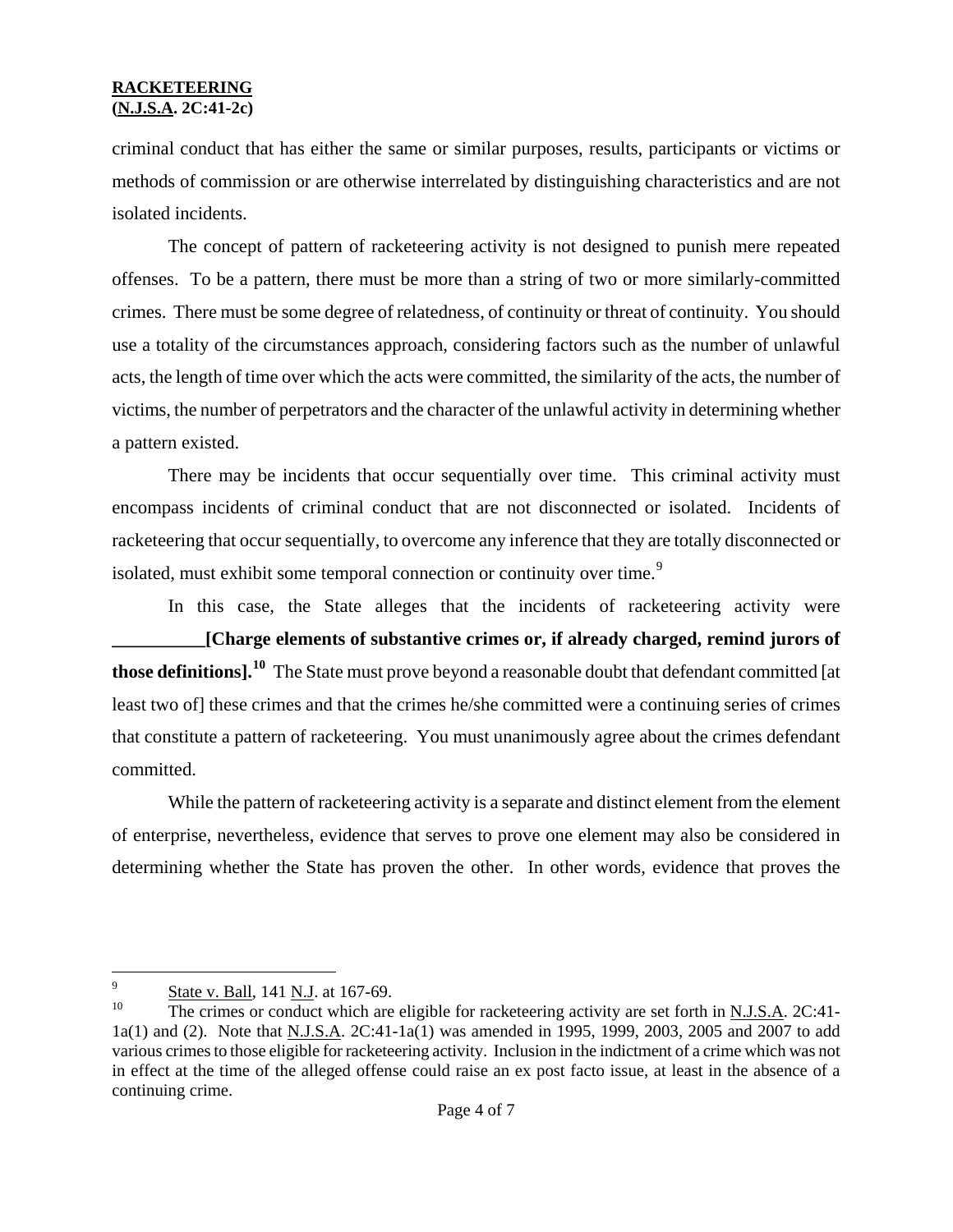criminal conduct that has either the same or similar purposes, results, participants or victims or methods of commission or are otherwise interrelated by distinguishing characteristics and are not isolated incidents.

The concept of pattern of racketeering activity is not designed to punish mere repeated offenses. To be a pattern, there must be more than a string of two or more similarly-committed crimes. There must be some degree of relatedness, of continuity or threat of continuity. You should use a totality of the circumstances approach, considering factors such as the number of unlawful acts, the length of time over which the acts were committed, the similarity of the acts, the number of victims, the number of perpetrators and the character of the unlawful activity in determining whether a pattern existed.

There may be incidents that occur sequentially over time. This criminal activity must encompass incidents of criminal conduct that are not disconnected or isolated. Incidents of racketeering that occur sequentially, to overcome any inference that they are totally disconnected or isolated, must exhibit some temporal connection or continuity over time.<sup>[9](#page-2-1)</sup>

In this case, the State alleges that the incidents of racketeering activity were **\_\_\_\_\_\_\_\_\_\_[Charge elements of substantive crimes or, if already charged, remind jurors of those definitions].[10](#page-3-0)** The State must prove beyond a reasonable doubt that defendant committed [at least two of] these crimes and that the crimes he/she committed were a continuing series of crimes that constitute a pattern of racketeering. You must unanimously agree about the crimes defendant committed.

While the pattern of racketeering activity is a separate and distinct element from the element of enterprise, nevertheless, evidence that serves to prove one element may also be considered in determining whether the State has proven the other. In other words, evidence that proves the

i<br>Li  $\frac{9}{10}$  State v. Ball, 141 N.J. at 167-69.

<span id="page-3-1"></span><span id="page-3-0"></span>The crimes or conduct which are eligible for racketeering activity are set forth in N.J.S.A. 2C:41-1a(1) and (2). Note that N.J.S.A. 2C:41-1a(1) was amended in 1995, 1999, 2003, 2005 and 2007 to add various crimes to those eligible for racketeering activity. Inclusion in the indictment of a crime which was not in effect at the time of the alleged offense could raise an ex post facto issue, at least in the absence of a continuing crime.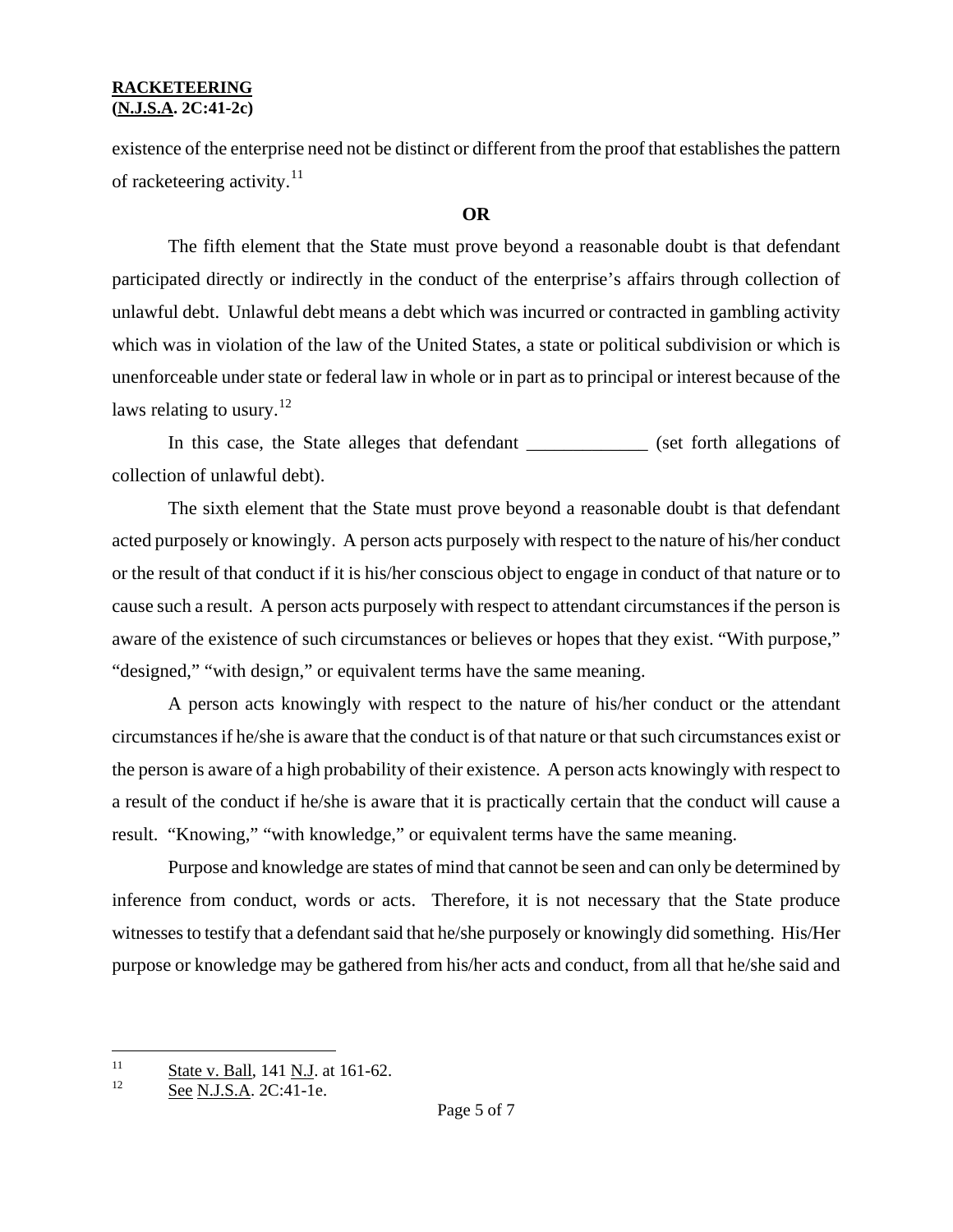existence of the enterprise need not be distinct or different from the proof that establishes the pattern of racketeering activity.<sup>[11](#page-3-1)</sup>

### **OR**

The fifth element that the State must prove beyond a reasonable doubt is that defendant participated directly or indirectly in the conduct of the enterprise's affairs through collection of unlawful debt. Unlawful debt means a debt which was incurred or contracted in gambling activity which was in violation of the law of the United States, a state or political subdivision or which is unenforceable under state or federal law in whole or in part as to principal or interest because of the laws relating to usury. $^{12}$  $^{12}$  $^{12}$ 

In this case, the State alleges that defendant \_\_\_\_\_\_\_\_\_\_\_\_\_ (set forth allegations of collection of unlawful debt).

The sixth element that the State must prove beyond a reasonable doubt is that defendant acted purposely or knowingly. A person acts purposely with respect to the nature of his/her conduct or the result of that conduct if it is his/her conscious object to engage in conduct of that nature or to cause such a result. A person acts purposely with respect to attendant circumstances if the person is aware of the existence of such circumstances or believes or hopes that they exist. "With purpose," "designed," "with design," or equivalent terms have the same meaning.

A person acts knowingly with respect to the nature of his/her conduct or the attendant circumstances if he/she is aware that the conduct is of that nature or that such circumstances exist or the person is aware of a high probability of their existence. A person acts knowingly with respect to a result of the conduct if he/she is aware that it is practically certain that the conduct will cause a result. "Knowing," "with knowledge," or equivalent terms have the same meaning.

Purpose and knowledge are states of mind that cannot be seen and can only be determined by inference from conduct, words or acts. Therefore, it is not necessary that the State produce witnesses to testify that a defendant said that he/she purposely or knowingly did something. His/Her purpose or knowledge may be gathered from his/her acts and conduct, from all that he/she said and

<span id="page-4-1"></span><span id="page-4-0"></span> $11$  $\frac{11}{12}$  State v. Ball, 141 N.J. at 161-62.

See N.J.S.A. 2C:41-1e.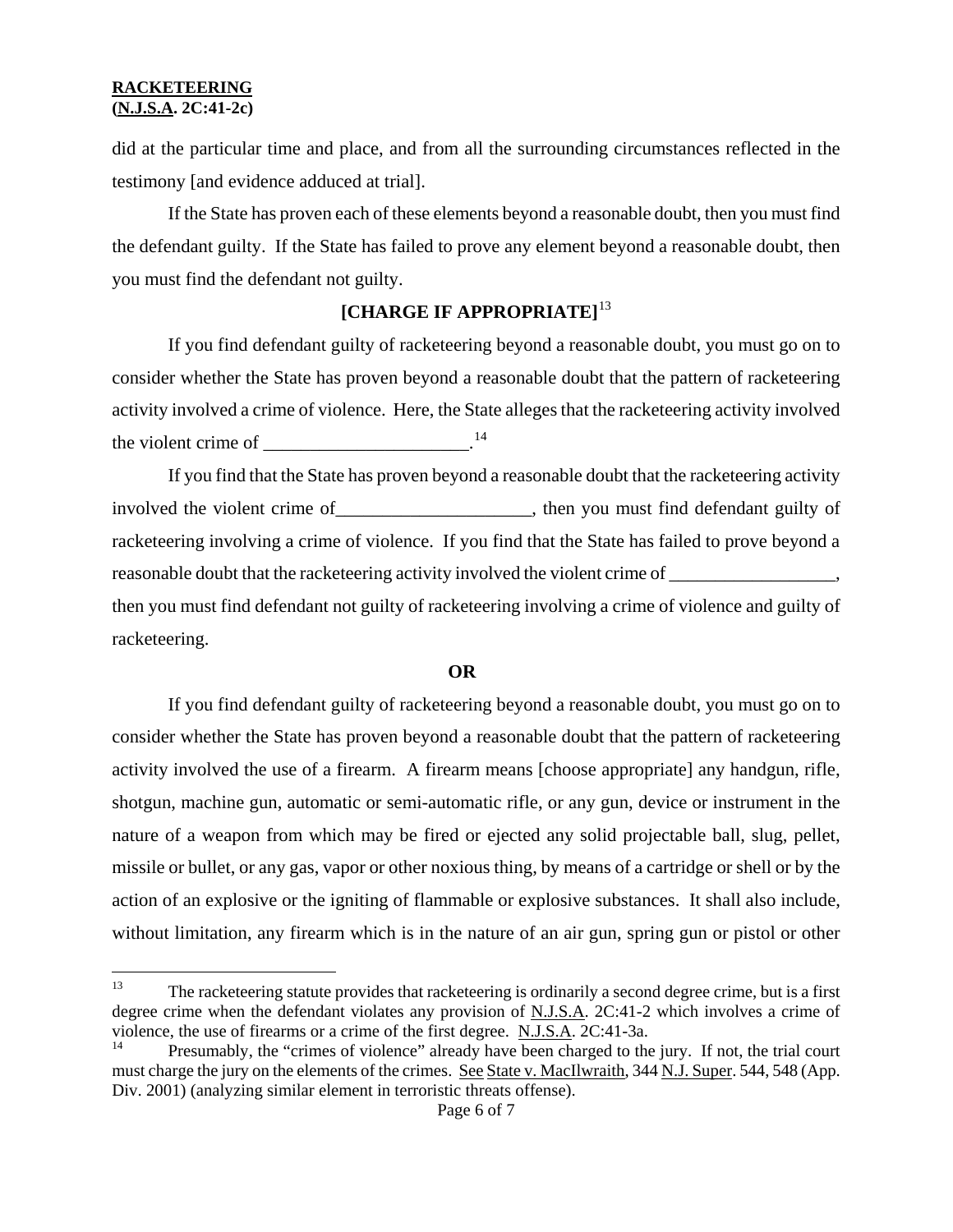did at the particular time and place, and from all the surrounding circumstances reflected in the testimony [and evidence adduced at trial].

If the State has proven each of these elements beyond a reasonable doubt, then you must find the defendant guilty. If the State has failed to prove any element beyond a reasonable doubt, then you must find the defendant not guilty.

# **[CHARGE IF APPROPRIATE]**[13](#page-4-1)

If you find defendant guilty of racketeering beyond a reasonable doubt, you must go on to consider whether the State has proven beyond a reasonable doubt that the pattern of racketeering activity involved a crime of violence. Here, the State alleges that the racketeering activity involved the violent crime of  $\frac{14}{14}$  $\frac{14}{14}$  $\frac{14}{14}$ 

If you find that the State has proven beyond a reasonable doubt that the racketeering activity involved the violent crime of\_\_\_\_\_\_\_\_\_\_\_\_\_\_\_\_\_\_\_\_\_, then you must find defendant guilty of racketeering involving a crime of violence. If you find that the State has failed to prove beyond a reasonable doubt that the racketeering activity involved the violent crime of then you must find defendant not guilty of racketeering involving a crime of violence and guilty of racketeering.

#### **OR**

If you find defendant guilty of racketeering beyond a reasonable doubt, you must go on to consider whether the State has proven beyond a reasonable doubt that the pattern of racketeering activity involved the use of a firearm. A firearm means [choose appropriate] any handgun, rifle, shotgun, machine gun, automatic or semi-automatic rifle, or any gun, device or instrument in the nature of a weapon from which may be fired or ejected any solid projectable ball, slug, pellet, missile or bullet, or any gas, vapor or other noxious thing, by means of a cartridge or shell or by the action of an explosive or the igniting of flammable or explosive substances. It shall also include, without limitation, any firearm which is in the nature of an air gun, spring gun or pistol or other

<sup>13</sup> The racketeering statute provides that racketeering is ordinarily a second degree crime, but is a first degree crime when the defendant violates any provision of N.J.S.A. 2C:41-2 which involves a crime of violence, the use of firearms or a crime of the first degree. N.J.S.A. 2C:41-3a.

<span id="page-5-0"></span>Presumably, the "crimes of violence" already have been charged to the jury. If not, the trial court must charge the jury on the elements of the crimes. See State v. MacIlwraith, 344 N.J. Super. 544, 548 (App. Div. 2001) (analyzing similar element in terroristic threats offense).